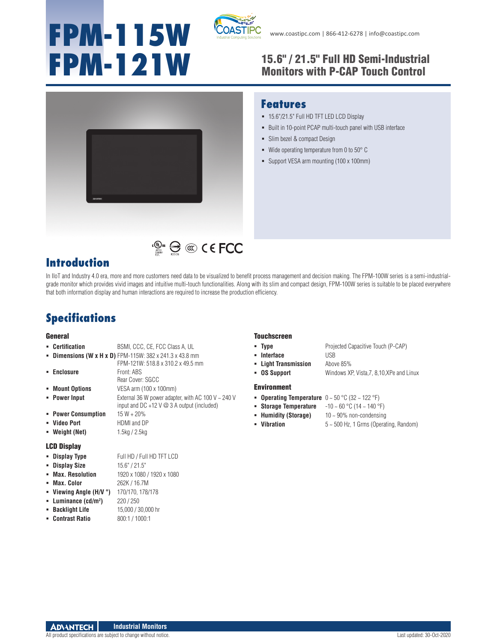# **FPM-115W**



### **FPM-121W** 15.6" / 21.5" Full HD Semi-Industrial Monitors with P-CAP Touch Control



#### **Features**

- 15.6"/21.5" Full HD TFT LED LCD Display
- **Built in 10-point PCAP multi-touch panel with USB interface**
- Slim bezel & compact Design
- $\blacksquare$  Wide operating temperature from 0 to 50 $^\circ$  C
- Support VESA arm mounting (100 x 100mm)



# $\mathbb{C}^{\mathbb{C}^n}$   $\bigoplus$   $\mathbb{C}$   $\mathbb{C}$   $\in$  FCC

In IIoT and Industry 4.0 era, more and more customers need data to be visualized to benefit process management and decision making. The FPM-100W series is a semi-industrialgrade monitor which provides vivid images and intuitive multi-touch functionalities. Along with its slim and compact design, FPM-100W series is suitable to be placed everywhere that both information display and human interactions are required to increase the production efficiency.

## **Specifications**

#### General

|                    | • Certification      | BSMI, CCC, CE, FCC Class A, UL                                                                                |  |  |
|--------------------|----------------------|---------------------------------------------------------------------------------------------------------------|--|--|
|                    |                      | <b>- Dimensions (W x H x D)</b> FPM-115W: $382 \times 241.3 \times 43.8$ mm                                   |  |  |
|                    |                      | FPM-121W: 518.8 x 310.2 x 49.5 mm                                                                             |  |  |
|                    | • Enclosure          | Front: ABS                                                                                                    |  |  |
|                    |                      | Rear Cover: SGCC                                                                                              |  |  |
| ٠.                 | <b>Mount Options</b> | VESA arm (100 x 100mm)                                                                                        |  |  |
|                    | • Power Input        | External 36 W power adapter, with AC 100 V $\sim$ 240 V<br>input and DC +12 V $\oslash$ 3 A output (included) |  |  |
|                    | • Power Consumption  | $15 W + 20%$                                                                                                  |  |  |
|                    | • Video Port         | HDMI and DP                                                                                                   |  |  |
|                    | • Weight (Net)       | 1.5kg / 2.5kg                                                                                                 |  |  |
| <b>LCD Display</b> |                      |                                                                                                               |  |  |

|  | • Display Type | Full HD / Full HD TFT LCD |
|--|----------------|---------------------------|
|--|----------------|---------------------------|

|  | • Display Size |  | 15.6" / 21.5" |
|--|----------------|--|---------------|
|--|----------------|--|---------------|

- **Max. Resolution** 1920 x 1080 / 1920 x 1080
- **Max. Color** 262K / 16.7M
- **Viewing Angle (H/V °)** 170/170, 178/178
- **Luminance (cd/m2 )** 220 / 250
- **Backlight Life** 15,000 / 30,000 hr
- **Contrast Ratio** 800:1 / 1000:1

#### Touchscreen

- **Type** Projected Capacitive Touch (P-CAP)
- **Interface** USB
- 
- **Light Transmission** Above 85%
- **OS Support** Windows XP, Vista,7, 8,10,XPe and Linux

#### Environment

- **Operating Temperature** 0 ~ 50 °C (32 ~ 122 °F)
- **Storage Temperature** -10 ~ 60 °C (14 ~ 140 °F)
- **Humidity (Storage)** 10 ~ 90% non-condensing
- 
- **Vibration** 5 ~ 500 Hz, 1 Grms (Operating, Random)

All product specifications are subject to change without notice. Last updated: 30-Oct-2020